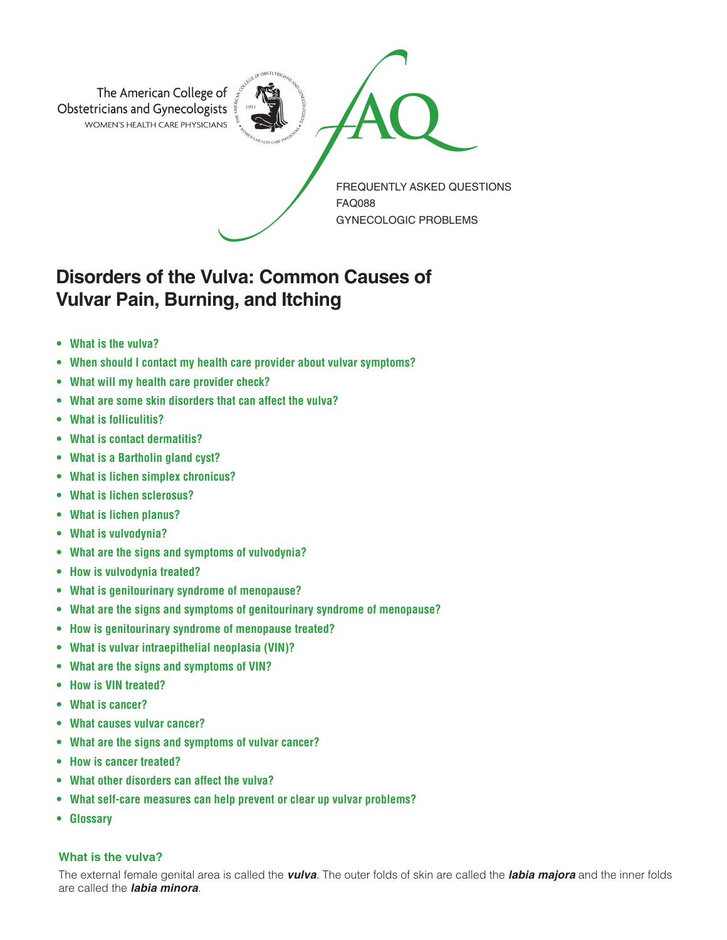

# **Disorders of the Vulva: Common Causes of Vulvar Pain, Burning, and Itching**

- **• What is the vulva?**
- **• When should I contact my health care provider about vulvar symptoms?**
- **• What will my health care provider check?**
- **• What are some skin disorders that can affect the vulva?**
- **• What is folliculitis?**
- **• What is contact dermatitis?**
- **• What is a Bartholin gland cyst?**
- **• What is lichen simplex chronicus?**
- **• What is lichen sclerosus?**
- **• What is lichen planus?**
- **• What is vulvodynia?**
- **• What are the signs and symptoms of vulvodynia?**
- **• How is vulvodynia treated?**
- **• What is genitourinary syndrome of menopause?**
- **• What are the signs and symptoms of genitourinary syndrome of menopause?**
- **• How is genitourinary syndrome of menopause treated?**
- **• What is vulvar intraepithelial neoplasia (VIN)?**
- **• What are the signs and symptoms of VIN?**
- **• How is VIN treated?**
- **• What is cancer?**
- **• What causes vulvar cancer?**
- **• What are the signs and symptoms of vulvar cancer?**
- **• How is cancer treated?**
- **• What other disorders can affect the vulva?**
- **• What self-care measures can help prevent or clear up vulvar problems?**
- **• Glossary**

# **What is the vulva?**

The external female genital area is called the *vulva*. The outer folds of skin are called the *labia majora* and the inner folds are called the *labia minora*.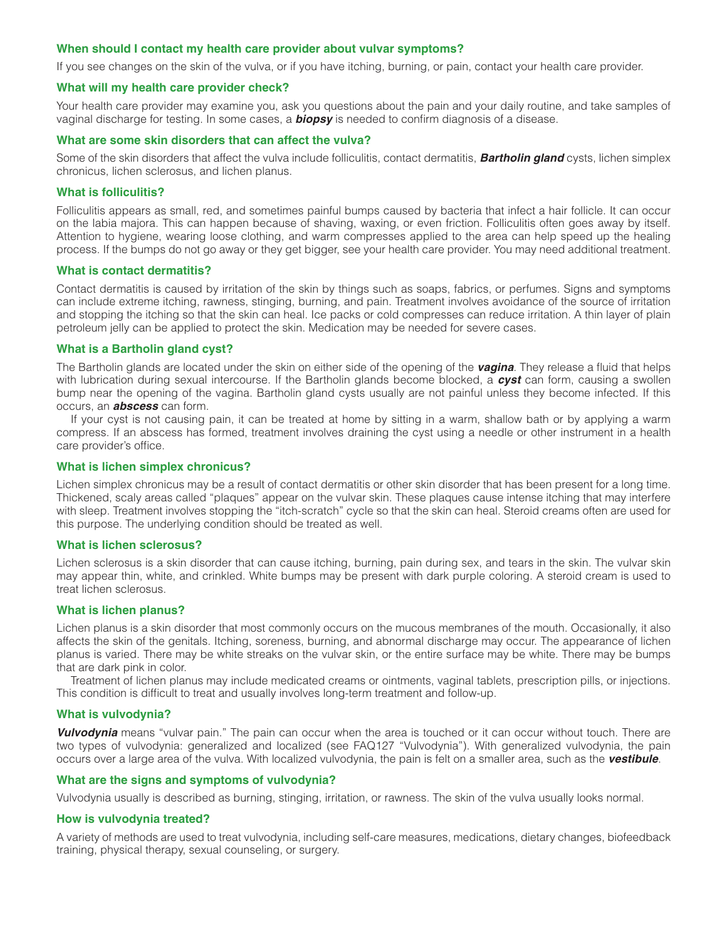## **When should I contact my health care provider about vulvar symptoms?**

If you see changes on the skin of the vulva, or if you have itching, burning, or pain, contact your health care provider.

#### **What will my health care provider check?**

Your health care provider may examine you, ask you questions about the pain and your daily routine, and take samples of vaginal discharge for testing. In some cases, a *biopsy* is needed to confirm diagnosis of a disease.

## **What are some skin disorders that can affect the vulva?**

Some of the skin disorders that affect the vulva include folliculitis, contact dermatitis, *Bartholin gland* cysts, lichen simplex chronicus, lichen sclerosus, and lichen planus.

## **What is folliculitis?**

Folliculitis appears as small, red, and sometimes painful bumps caused by bacteria that infect a hair follicle. It can occur on the labia majora. This can happen because of shaving, waxing, or even friction. Folliculitis often goes away by itself. Attention to hygiene, wearing loose clothing, and warm compresses applied to the area can help speed up the healing process. If the bumps do not go away or they get bigger, see your health care provider. You may need additional treatment.

## **What is contact dermatitis?**

Contact dermatitis is caused by irritation of the skin by things such as soaps, fabrics, or perfumes. Signs and symptoms can include extreme itching, rawness, stinging, burning, and pain. Treatment involves avoidance of the source of irritation and stopping the itching so that the skin can heal. Ice packs or cold compresses can reduce irritation. A thin layer of plain petroleum jelly can be applied to protect the skin. Medication may be needed for severe cases.

## **What is a Bartholin gland cyst?**

The Bartholin glands are located under the skin on either side of the opening of the *vagina*. They release a fluid that helps with lubrication during sexual intercourse. If the Bartholin glands become blocked, a *cyst* can form, causing a swollen bump near the opening of the vagina. Bartholin gland cysts usually are not painful unless they become infected. If this occurs, an *abscess* can form.

If your cyst is not causing pain, it can be treated at home by sitting in a warm, shallow bath or by applying a warm compress. If an abscess has formed, treatment involves draining the cyst using a needle or other instrument in a health care provider's office.

#### **What is lichen simplex chronicus?**

Lichen simplex chronicus may be a result of contact dermatitis or other skin disorder that has been present for a long time. Thickened, scaly areas called "plaques" appear on the vulvar skin. These plaques cause intense itching that may interfere with sleep. Treatment involves stopping the "itch-scratch" cycle so that the skin can heal. Steroid creams often are used for this purpose. The underlying condition should be treated as well.

#### **What is lichen sclerosus?**

Lichen sclerosus is a skin disorder that can cause itching, burning, pain during sex, and tears in the skin. The vulvar skin may appear thin, white, and crinkled. White bumps may be present with dark purple coloring. A steroid cream is used to treat lichen sclerosus.

## **What is lichen planus?**

Lichen planus is a skin disorder that most commonly occurs on the mucous membranes of the mouth. Occasionally, it also affects the skin of the genitals. Itching, soreness, burning, and abnormal discharge may occur. The appearance of lichen planus is varied. There may be white streaks on the vulvar skin, or the entire surface may be white. There may be bumps that are dark pink in color.

Treatment of lichen planus may include medicated creams or ointments, vaginal tablets, prescription pills, or injections. This condition is difficult to treat and usually involves long-term treatment and follow-up.

#### **What is vulvodynia?**

*Vulvodynia* means "vulvar pain." The pain can occur when the area is touched or it can occur without touch. There are two types of vulvodynia: generalized and localized (see FAQ127 "Vulvodynia"). With generalized vulvodynia, the pain occurs over a large area of the vulva. With localized vulvodynia, the pain is felt on a smaller area, such as the *vestibule*.

## **What are the signs and symptoms of vulvodynia?**

Vulvodynia usually is described as burning, stinging, irritation, or rawness. The skin of the vulva usually looks normal.

## **How is vulvodynia treated?**

A variety of methods are used to treat vulvodynia, including self-care measures, medications, dietary changes, biofeedback training, physical therapy, sexual counseling, or surgery.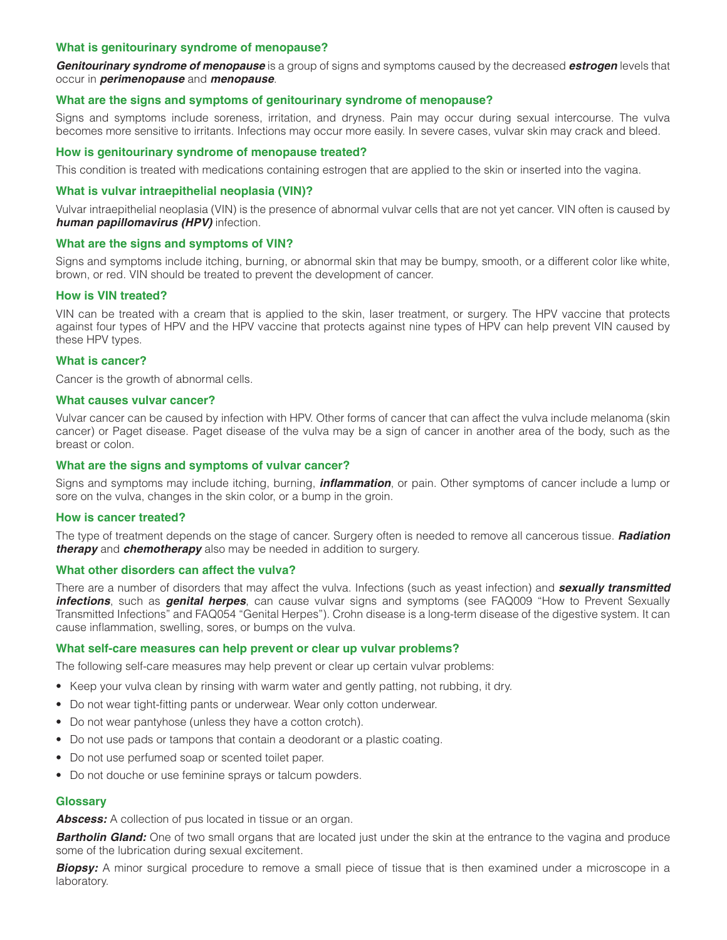## **What is genitourinary syndrome of menopause?**

*Genitourinary syndrome of menopause* is a group of signs and symptoms caused by the decreased *estrogen* levels that occur in *perimenopause* and *menopause*.

## **What are the signs and symptoms of genitourinary syndrome of menopause?**

Signs and symptoms include soreness, irritation, and dryness. Pain may occur during sexual intercourse. The vulva becomes more sensitive to irritants. Infections may occur more easily. In severe cases, vulvar skin may crack and bleed.

## **How is genitourinary syndrome of menopause treated?**

This condition is treated with medications containing estrogen that are applied to the skin or inserted into the vagina.

## **What is vulvar intraepithelial neoplasia (VIN)?**

Vulvar intraepithelial neoplasia (VIN) is the presence of abnormal vulvar cells that are not yet cancer. VIN often is caused by *human papillomavirus (HPV)* infection.

## **What are the signs and symptoms of VIN?**

Signs and symptoms include itching, burning, or abnormal skin that may be bumpy, smooth, or a different color like white, brown, or red. VIN should be treated to prevent the development of cancer.

## **How is VIN treated?**

VIN can be treated with a cream that is applied to the skin, laser treatment, or surgery. The HPV vaccine that protects against four types of HPV and the HPV vaccine that protects against nine types of HPV can help prevent VIN caused by these HPV types.

## **What is cancer?**

Cancer is the growth of abnormal cells.

## **What causes vulvar cancer?**

Vulvar cancer can be caused by infection with HPV. Other forms of cancer that can affect the vulva include melanoma (skin cancer) or Paget disease. Paget disease of the vulva may be a sign of cancer in another area of the body, such as the breast or colon.

## **What are the signs and symptoms of vulvar cancer?**

Signs and symptoms may include itching, burning, *inflammation*, or pain. Other symptoms of cancer include a lump or sore on the vulva, changes in the skin color, or a bump in the groin.

## **How is cancer treated?**

The type of treatment depends on the stage of cancer. Surgery often is needed to remove all cancerous tissue. *Radiation therapy* and *chemotherapy* also may be needed in addition to surgery.

## **What other disorders can affect the vulva?**

There are a number of disorders that may affect the vulva. Infections (such as yeast infection) and *sexually transmitted infections*, such as *genital herpes*, can cause vulvar signs and symptoms (see FAQ009 "How to Prevent Sexually Transmitted Infections" and FAQ054 "Genital Herpes"). Crohn disease is a long-term disease of the digestive system. It can cause inflammation, swelling, sores, or bumps on the vulva.

## **What self-care measures can help prevent or clear up vulvar problems?**

The following self-care measures may help prevent or clear up certain vulvar problems:

- Keep your vulva clean by rinsing with warm water and gently patting, not rubbing, it dry.
- Do not wear tight-fitting pants or underwear. Wear only cotton underwear.
- Do not wear pantyhose (unless they have a cotton crotch).
- Do not use pads or tampons that contain a deodorant or a plastic coating.
- Do not use perfumed soap or scented toilet paper.
- Do not douche or use feminine sprays or talcum powders.

## **Glossary**

*Abscess:* A collection of pus located in tissue or an organ.

**Bartholin Gland:** One of two small organs that are located just under the skin at the entrance to the vagina and produce some of the lubrication during sexual excitement.

**Biopsy:** A minor surgical procedure to remove a small piece of tissue that is then examined under a microscope in a laboratory.